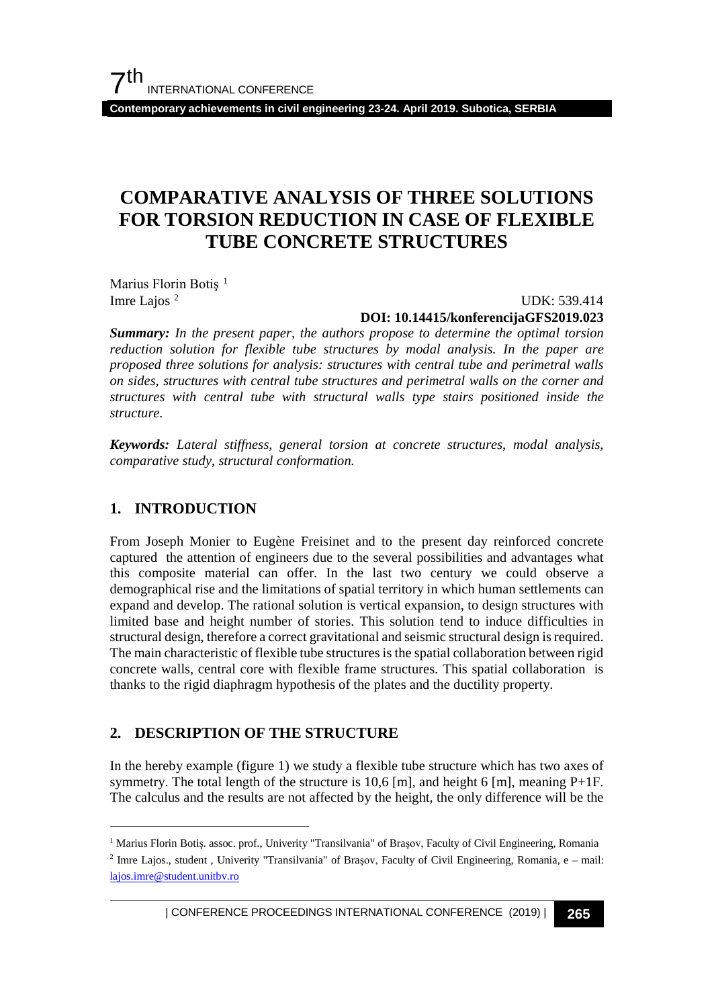**Contemporary achievements in civil engineering 23-24. April 2019. Subotica, SERBIA**

## **COMPARATIVE ANALYSIS OF THREE SOLUTIONS FOR TORSION REDUCTION IN CASE OF FLEXIBLE TUBE CONCRETE STRUCTURES**

Marius Florin Botiș<sup>[1](#page-0-0)</sup> Imre Lajos [2](#page-0-1)

 UDK: 539.414 **DOI: 10.14415/konferencijaGFS2019.023**

*Summary: In the present paper, the authors propose to determine the optimal torsion reduction solution for flexible tube structures by modal analysis. In the paper are proposed three solutions for analysis: structures with central tube and perimetral walls on sides, structures with central tube structures and perimetral walls on the corner and structures with central tube with structural walls type stairs positioned inside the structure.*

*Keywords: Lateral stiffness, general torsion at concrete structures, modal analysis, comparative study, structural conformation.*

#### **1. INTRODUCTION**

From Joseph Monier to Eugène Freisinet and to the present day reinforced concrete captured the attention of engineers due to the several possibilities and advantages what this composite material can offer. In the last two century we could observe a demographical rise and the limitations of spatial territory in which human settlements can expand and develop. The rational solution is vertical expansion, to design structures with limited base and height number of stories. This solution tend to induce difficulties in structural design, therefore a correct gravitational and seismic structural design is required. The main characteristic of flexible tube structures is the spatial collaboration between rigid concrete walls, central core with flexible frame structures. This spatial collaboration is thanks to the rigid diaphragm hypothesis of the plates and the ductility property.

## **2. DESCRIPTION OF THE STRUCTURE**

In the hereby example (figure 1) we study a flexible tube structure which has two axes of symmetry. The total length of the structure is 10.6 [m], and height 6 [m], meaning  $P+1F$ . The calculus and the results are not affected by the height, the only difference will be the

<span id="page-0-0"></span> <sup>1</sup> Marius Florin Botiş. assoc. prof., Univerity "Transilvania" of Braşov, Faculty of Civil Engineering, Romania

<span id="page-0-1"></span><sup>&</sup>lt;sup>2</sup> Imre Lajos., student , Univerity "Transilvania" of Brașov, Faculty of Civil Engineering, Romania, e – mail: lajos.imre@student.unitbv.ro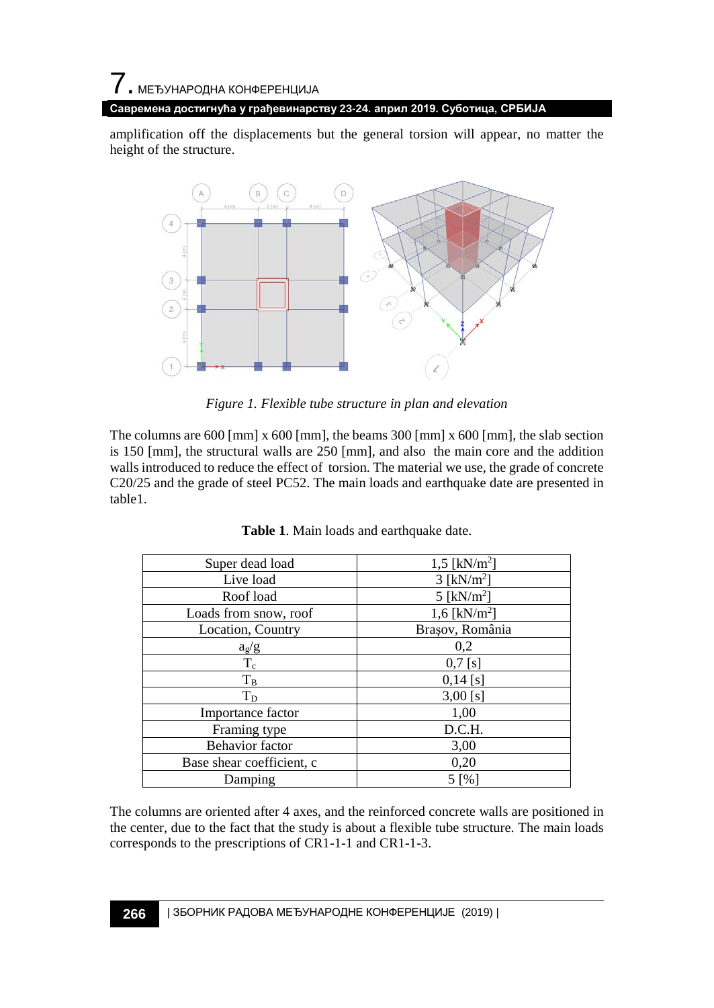amplification off the displacements but the general torsion will appear, no matter the height of the structure.



*Figure 1. Flexible tube structure in plan and elevation*

The columns are 600 [mm] x 600 [mm], the beams 300 [mm] x 600 [mm], the slab section is 150 [mm], the structural walls are 250 [mm], and also the main core and the addition walls introduced to reduce the effect of torsion. The material we use, the grade of concrete C20/25 and the grade of steel PC52. The main loads and earthquake date are presented in table1.

| Super dead load           | 1,5 [ $kN/m^2$ ]         |
|---------------------------|--------------------------|
| Live load                 | $3$ [kN/m <sup>2</sup> ] |
| Roof load                 | 5 [ $kN/m2$ ]            |
| Loads from snow, roof     | 1,6 [ $kN/m2$ ]          |
| Location, Country         | Brașov, România          |
| $a_g/g$                   | 0,2                      |
| $T_c$                     | $0,7$ [s]                |
| $T_B$                     | $0,14$ [s]               |
| $T_D$                     | $3,00$ [s]               |
| Importance factor         | 1,00                     |
| Framing type              | D.C.H.                   |
| <b>Behavior</b> factor    | 3,00                     |
| Base shear coefficient, c | 0,20                     |
| Damping                   | 5 [%]                    |

|  |  | Table 1. Main loads and earthquake date. |  |
|--|--|------------------------------------------|--|
|  |  |                                          |  |

The columns are oriented after 4 axes, and the reinforced concrete walls are positioned in the center, due to the fact that the study is about a flexible tube structure. The main loads corresponds to the prescriptions of CR1-1-1 and CR1-1-3.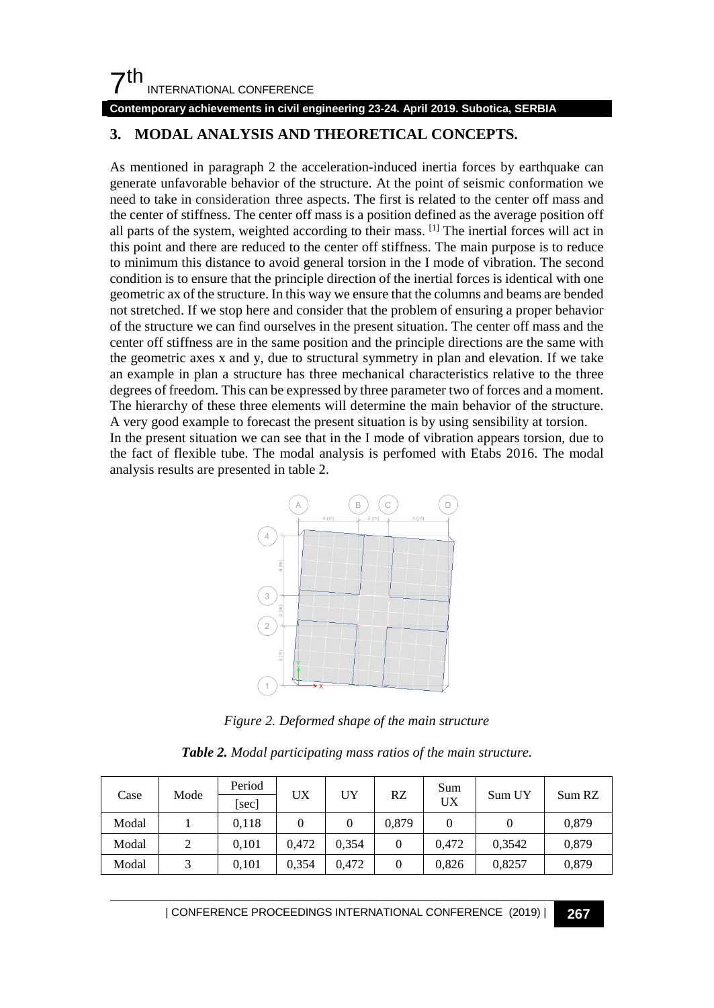## $7<sup>th</sup>$ INTERNATIONAL CONFERENCE

#### **Contemporary achievements in civil engineering 23-24. April 2019. Subotica, SERBIA**

## **3. MODAL ANALYSIS AND THEORETICAL CONCEPTS.**

As mentioned in paragraph 2 the acceleration-induced inertia forces by earthquake can generate unfavorable behavior of the structure. At the point of seismic conformation we need to take in consideration three aspects. The first is related to the center off mass and the center of stiffness. The center off mass is a position defined as the average position off all parts of the system, weighted according to their mass. [1] The inertial forces will act in this point and there are reduced to the center off stiffness. The main purpose is to reduce to minimum this distance to avoid general torsion in the I mode of vibration. The second condition is to ensure that the principle direction of the inertial forces is identical with one geometric ax of the structure. In this way we ensure that the columns and beams are bended not stretched. If we stop here and consider that the problem of ensuring a proper behavior of the structure we can find ourselves in the present situation. The center off mass and the center off stiffness are in the same position and the principle directions are the same with the geometric axes x and y, due to structural symmetry in plan and elevation. If we take an example in plan a structure has three mechanical characteristics relative to the three degrees of freedom. This can be expressed by three parameter two of forces and a moment. The hierarchy of these three elements will determine the main behavior of the structure. A very good example to forecast the present situation is by using sensibility at torsion.

In the present situation we can see that in the I mode of vibration appears torsion, due to the fact of flexible tube. The modal analysis is perfomed with Etabs 2016. The modal analysis results are presented in table 2.



*Figure 2. Deformed shape of the main structure*

|  |  |  |  |  |  | Table 2. Modal participating mass ratios of the main structure. |
|--|--|--|--|--|--|-----------------------------------------------------------------|
|--|--|--|--|--|--|-----------------------------------------------------------------|

| Mode<br>Case |       | Period | UX    | UY    | RZ             | Sum    |        |       |
|--------------|-------|--------|-------|-------|----------------|--------|--------|-------|
|              | [sec] |        |       |       | UX             | Sum UY | Sum RZ |       |
| Modal        |       | 0,118  |       | 0     | 0.879          |        |        | 0,879 |
| Modal        |       | 0.101  | 0.472 | 0.354 | $\overline{0}$ | 0.472  | 0,3542 | 0,879 |
| Modal        |       | 0.101  | 0.354 | 0.472 | 0              | 0.826  | 0,8257 | 0,879 |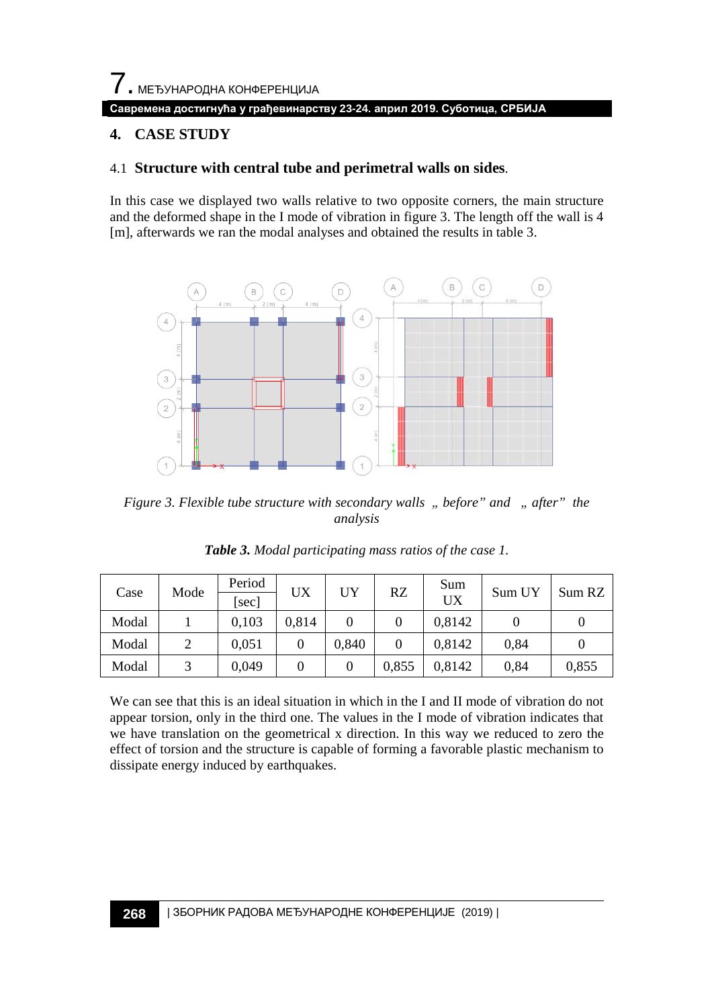$\overline{\phantom{a}}$ . МЕЂУНАРОДНА КОНФЕРЕНЦИЈА **Савремена достигнућа у грађевинарству 23-24. април 2019. Суботица, СРБИЈА**

## **4. CASE STUDY**

#### 4.1 **Structure with central tube and perimetral walls on sides**.

In this case we displayed two walls relative to two opposite corners, the main structure and the deformed shape in the I mode of vibration in figure 3. The length off the wall is 4 [m], afterwards we ran the modal analyses and obtained the results in table 3.



*Figure 3. Flexible tube structure with secondary walls " before" and " after" the analysis*

| Case  | Mode | Period<br>[sec] | UX    | UY    | RZ    | Sum<br>UX | Sum UY | Sum RZ |
|-------|------|-----------------|-------|-------|-------|-----------|--------|--------|
| Modal |      | 0.103           | 0.814 |       |       | 0.8142    |        |        |
| Modal |      | 0.051           |       | 0.840 | 0     | 0,8142    | 0.84   |        |
| Modal |      | 0,049           |       |       | 0,855 | 0,8142    | 0,84   | 0,855  |

*Table 3. Modal participating mass ratios of the case 1.*

We can see that this is an ideal situation in which in the I and II mode of vibration do not appear torsion, only in the third one. The values in the I mode of vibration indicates that we have translation on the geometrical x direction. In this way we reduced to zero the effect of torsion and the structure is capable of forming a favorable plastic mechanism to dissipate energy induced by earthquakes.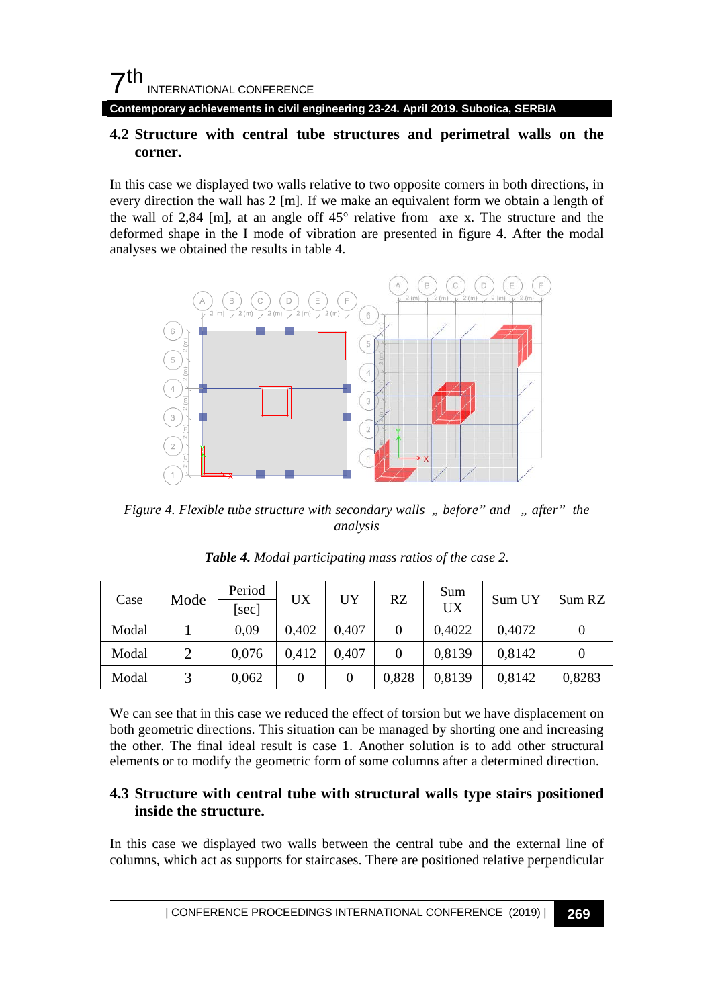**Contemporary achievements in civil engineering 23-24. April 2019. Subotica, SERBIA**

#### **4.2 Structure with central tube structures and perimetral walls on the corner.**

In this case we displayed two walls relative to two opposite corners in both directions, in every direction the wall has 2 [m]. If we make an equivalent form we obtain a length of the wall of 2,84 [m], at an angle off 45° relative from axe x. The structure and the deformed shape in the I mode of vibration are presented in figure 4. After the modal analyses we obtained the results in table 4.



*Figure 4. Flexible tube structure with secondary walls " before" and " after" the analysis*

| Mode<br>Case |       | Period | UX    | UY    | RZ    | Sum    | Sum UY |        |
|--------------|-------|--------|-------|-------|-------|--------|--------|--------|
|              | [sec] |        |       |       | UX    |        | Sum RZ |        |
| Modal        |       | 0.09   | 0.402 | 0.407 |       | 0.4022 | 0,4072 |        |
| Modal        |       | 0.076  | 0.412 | 0.407 |       | 0,8139 | 0,8142 |        |
| Modal        |       | 0,062  |       | 0     | 0,828 | 0,8139 | 0,8142 | 0,8283 |

*Table 4. Modal participating mass ratios of the case 2.*

We can see that in this case we reduced the effect of torsion but we have displacement on both geometric directions. This situation can be managed by shorting one and increasing the other. The final ideal result is case 1. Another solution is to add other structural elements or to modify the geometric form of some columns after a determined direction.

#### **4.3 Structure with central tube with structural walls type stairs positioned inside the structure.**

In this case we displayed two walls between the central tube and the external line of columns, which act as supports for staircases. There are positioned relative perpendicular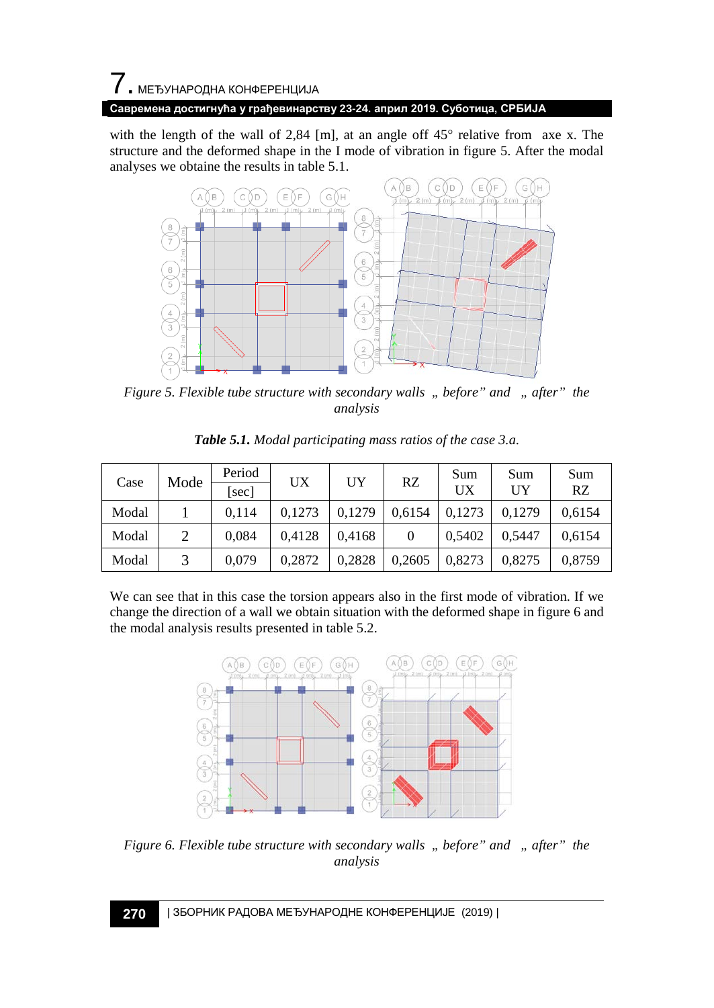# $\overline{\phantom{a}}$ . МЕЂУНАРОДНА КОНФЕРЕНЦИЈА **Савремена достигнућа у грађевинарству 23-24. април 2019. Суботица, СРБИЈА**

with the length of the wall of 2,84 [m], at an angle off 45° relative from axe x. The structure and the deformed shape in the I mode of vibration in figure 5. After the modal analyses we obtaine the results in table 5.1.



*Figure 5. Flexible tube structure with secondary walls " before" and " after" the analysis*

| Case  | Mode | Period<br>sec | UX     | UY     | RZ     | Sum<br>UX | Sum<br>UY | Sum<br>RZ |
|-------|------|---------------|--------|--------|--------|-----------|-----------|-----------|
| Modal |      | 0.114         | 0,1273 | 0,1279 | 0,6154 | 0,1273    | 0.1279    | 0,6154    |
| Modal |      | 0.084         | 0.4128 | 0.4168 |        | 0,5402    | 0.5447    | 0,6154    |
| Modal |      | 0,079         | 0,2872 | 0,2828 | 0,2605 | 0,8273    | 0,8275    | 0,8759    |

*Table 5.1. Modal participating mass ratios of the case 3.a.*

We can see that in this case the torsion appears also in the first mode of vibration. If we change the direction of a wall we obtain situation with the deformed shape in figure 6 and the modal analysis results presented in table 5.2.



*Figure 6. Flexible tube structure with secondary walls " before" and " after" the analysis*